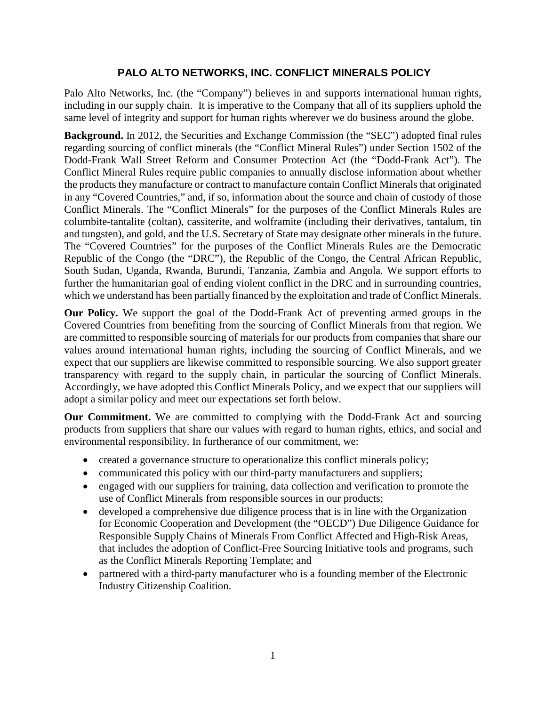## **PALO ALTO NETWORKS, INC. CONFLICT MINERALS POLICY**

Palo Alto Networks, Inc. (the "Company") believes in and supports international human rights, including in our supply chain. It is imperative to the Company that all of its suppliers uphold the same level of integrity and support for human rights wherever we do business around the globe.

**Background.** In 2012, the Securities and Exchange Commission (the "SEC") adopted final rules regarding sourcing of conflict minerals (the "Conflict Mineral Rules") under Section 1502 of the Dodd-Frank Wall Street Reform and Consumer Protection Act (the "Dodd-Frank Act"). The Conflict Mineral Rules require public companies to annually disclose information about whether the products they manufacture or contract to manufacture contain Conflict Minerals that originated in any "Covered Countries," and, if so, information about the source and chain of custody of those Conflict Minerals. The "Conflict Minerals" for the purposes of the Conflict Minerals Rules are columbite-tantalite (coltan), cassiterite, and wolframite (including their derivatives, tantalum, tin and tungsten), and gold, and the U.S. Secretary of State may designate other minerals in the future. The "Covered Countries" for the purposes of the Conflict Minerals Rules are the Democratic Republic of the Congo (the "DRC"), the Republic of the Congo, the Central African Republic, South Sudan, Uganda, Rwanda, Burundi, Tanzania, Zambia and Angola. We support efforts to further the humanitarian goal of ending violent conflict in the DRC and in surrounding countries, which we understand has been partially financed by the exploitation and trade of Conflict Minerals.

**Our Policy.** We support the goal of the Dodd-Frank Act of preventing armed groups in the Covered Countries from benefiting from the sourcing of Conflict Minerals from that region. We are committed to responsible sourcing of materials for our products from companies that share our values around international human rights, including the sourcing of Conflict Minerals, and we expect that our suppliers are likewise committed to responsible sourcing. We also support greater transparency with regard to the supply chain, in particular the sourcing of Conflict Minerals. Accordingly, we have adopted this Conflict Minerals Policy, and we expect that our suppliers will adopt a similar policy and meet our expectations set forth below.

**Our Commitment.** We are committed to complying with the Dodd-Frank Act and sourcing products from suppliers that share our values with regard to human rights, ethics, and social and environmental responsibility. In furtherance of our commitment, we:

- created a governance structure to operationalize this conflict minerals policy;
- communicated this policy with our third-party manufacturers and suppliers;
- engaged with our suppliers for training, data collection and verification to promote the use of Conflict Minerals from responsible sources in our products;
- developed a comprehensive due diligence process that is in line with the Organization for Economic Cooperation and Development (the "OECD") Due Diligence Guidance for Responsible Supply Chains of Minerals From Conflict Affected and High-Risk Areas, that includes the adoption of Conflict-Free Sourcing Initiative tools and programs, such as the Conflict Minerals Reporting Template; and
- partnered with a third-party manufacturer who is a founding member of the Electronic Industry Citizenship Coalition.